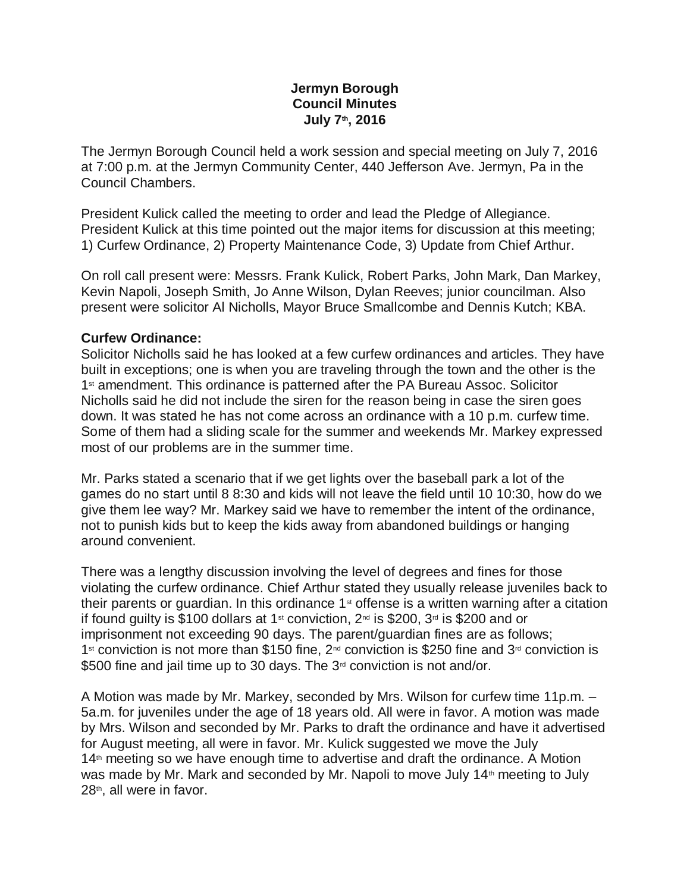## **Jermyn Borough Council Minutes July 7th, 2016**

The Jermyn Borough Council held a work session and special meeting on July 7, 2016 at 7:00 p.m. at the Jermyn Community Center, 440 Jefferson Ave. Jermyn, Pa in the Council Chambers.

President Kulick called the meeting to order and lead the Pledge of Allegiance. President Kulick at this time pointed out the major items for discussion at this meeting; 1) Curfew Ordinance, 2) Property Maintenance Code, 3) Update from Chief Arthur.

On roll call present were: Messrs. Frank Kulick, Robert Parks, John Mark, Dan Markey, Kevin Napoli, Joseph Smith, Jo Anne Wilson, Dylan Reeves; junior councilman. Also present were solicitor Al Nicholls, Mayor Bruce Smallcombe and Dennis Kutch; KBA.

#### **Curfew Ordinance:**

Solicitor Nicholls said he has looked at a few curfew ordinances and articles. They have built in exceptions; one is when you are traveling through the town and the other is the 1st amendment. This ordinance is patterned after the PA Bureau Assoc. Solicitor Nicholls said he did not include the siren for the reason being in case the siren goes down. It was stated he has not come across an ordinance with a 10 p.m. curfew time. Some of them had a sliding scale for the summer and weekends Mr. Markey expressed most of our problems are in the summer time.

Mr. Parks stated a scenario that if we get lights over the baseball park a lot of the games do no start until 8 8:30 and kids will not leave the field until 10 10:30, how do we give them lee way? Mr. Markey said we have to remember the intent of the ordinance, not to punish kids but to keep the kids away from abandoned buildings or hanging around convenient.

There was a lengthy discussion involving the level of degrees and fines for those violating the curfew ordinance. Chief Arthur stated they usually release juveniles back to their parents or quardian. In this ordinance 1<sup>st</sup> offense is a written warning after a citation if found guilty is \$100 dollars at 1<sup>st</sup> conviction,  $2^{nd}$  is \$200,  $3^{rd}$  is \$200 and or imprisonment not exceeding 90 days. The parent/guardian fines are as follows; 1<sup>st</sup> conviction is not more than \$150 fine,  $2^{nd}$  conviction is \$250 fine and  $3^{rd}$  conviction is \$500 fine and jail time up to 30 days. The 3<sup>rd</sup> conviction is not and/or.

A Motion was made by Mr. Markey, seconded by Mrs. Wilson for curfew time 11p.m. – 5a.m. for juveniles under the age of 18 years old. All were in favor. A motion was made by Mrs. Wilson and seconded by Mr. Parks to draft the ordinance and have it advertised for August meeting, all were in favor. Mr. Kulick suggested we move the July 14<sup>th</sup> meeting so we have enough time to advertise and draft the ordinance. A Motion was made by Mr. Mark and seconded by Mr. Napoli to move July 14<sup>th</sup> meeting to July  $28<sup>th</sup>$ , all were in favor.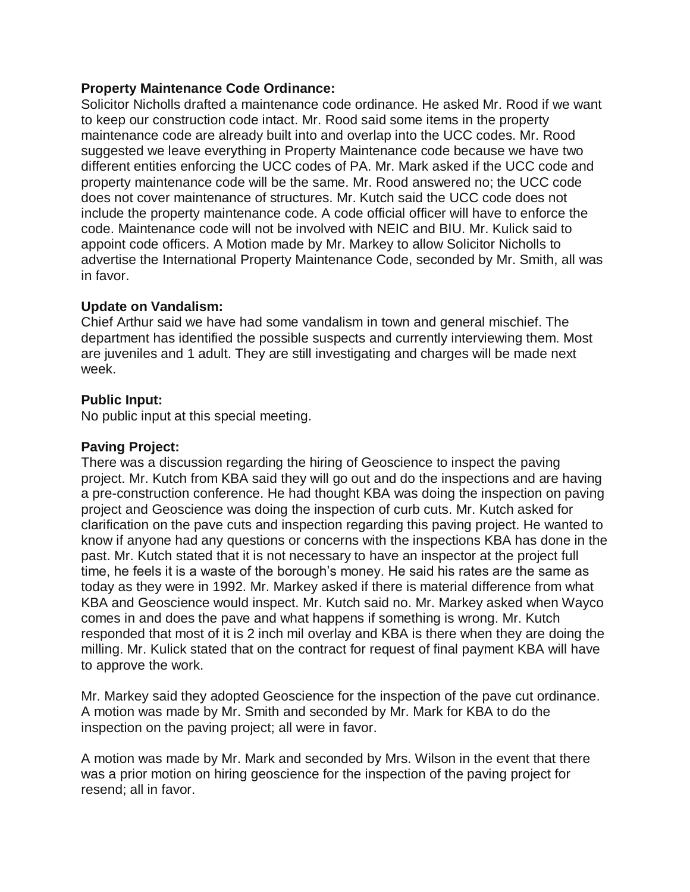# **Property Maintenance Code Ordinance:**

Solicitor Nicholls drafted a maintenance code ordinance. He asked Mr. Rood if we want to keep our construction code intact. Mr. Rood said some items in the property maintenance code are already built into and overlap into the UCC codes. Mr. Rood suggested we leave everything in Property Maintenance code because we have two different entities enforcing the UCC codes of PA. Mr. Mark asked if the UCC code and property maintenance code will be the same. Mr. Rood answered no; the UCC code does not cover maintenance of structures. Mr. Kutch said the UCC code does not include the property maintenance code. A code official officer will have to enforce the code. Maintenance code will not be involved with NEIC and BIU. Mr. Kulick said to appoint code officers. A Motion made by Mr. Markey to allow Solicitor Nicholls to advertise the International Property Maintenance Code, seconded by Mr. Smith, all was in favor.

# **Update on Vandalism:**

Chief Arthur said we have had some vandalism in town and general mischief. The department has identified the possible suspects and currently interviewing them. Most are juveniles and 1 adult. They are still investigating and charges will be made next week.

# **Public Input:**

No public input at this special meeting.

## **Paving Project:**

There was a discussion regarding the hiring of Geoscience to inspect the paving project. Mr. Kutch from KBA said they will go out and do the inspections and are having a pre-construction conference. He had thought KBA was doing the inspection on paving project and Geoscience was doing the inspection of curb cuts. Mr. Kutch asked for clarification on the pave cuts and inspection regarding this paving project. He wanted to know if anyone had any questions or concerns with the inspections KBA has done in the past. Mr. Kutch stated that it is not necessary to have an inspector at the project full time, he feels it is a waste of the borough's money. He said his rates are the same as today as they were in 1992. Mr. Markey asked if there is material difference from what KBA and Geoscience would inspect. Mr. Kutch said no. Mr. Markey asked when Wayco comes in and does the pave and what happens if something is wrong. Mr. Kutch responded that most of it is 2 inch mil overlay and KBA is there when they are doing the milling. Mr. Kulick stated that on the contract for request of final payment KBA will have to approve the work.

Mr. Markey said they adopted Geoscience for the inspection of the pave cut ordinance. A motion was made by Mr. Smith and seconded by Mr. Mark for KBA to do the inspection on the paving project; all were in favor.

A motion was made by Mr. Mark and seconded by Mrs. Wilson in the event that there was a prior motion on hiring geoscience for the inspection of the paving project for resend; all in favor.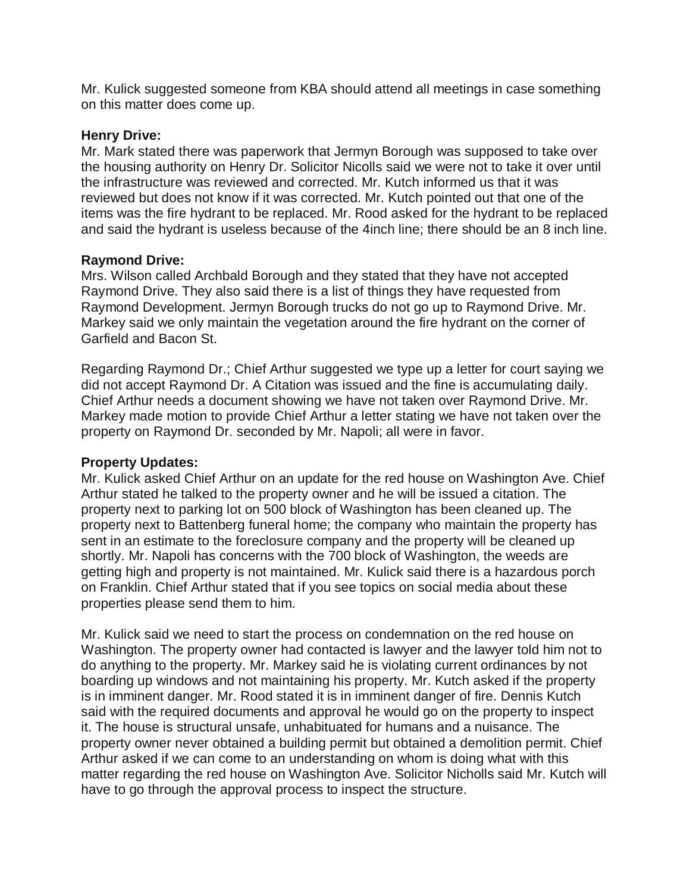Mr. Kulick suggested someone from KBA should attend all meetings in case something on this matter does come up.

### **Henry Drive:**

Mr. Mark stated there was paperwork that Jermyn Borough was supposed to take over the housing authority on Henry Dr. Solicitor Nicolls said we were not to take it over until the infrastructure was reviewed and corrected. Mr. Kutch informed us that it was reviewed but does not know if it was corrected. Mr. Kutch pointed out that one of the items was the fire hydrant to be replaced. Mr. Rood asked for the hydrant to be replaced and said the hydrant is useless because of the 4inch line; there should be an 8 inch line.

#### **Raymond Drive:**

Mrs. Wilson called Archbald Borough and they stated that they have not accepted Raymond Drive. They also said there is a list of things they have requested from Raymond Development. Jermyn Borough trucks do not go up to Raymond Drive. Mr. Markey said we only maintain the vegetation around the fire hydrant on the corner of Garfield and Bacon St.

Regarding Raymond Dr.; Chief Arthur suggested we type up a letter for court saying we did not accept Raymond Dr. A Citation was issued and the fine is accumulating daily. Chief Arthur needs a document showing we have not taken over Raymond Drive. Mr. Markey made motion to provide Chief Arthur a letter stating we have not taken over the property on Raymond Dr. seconded by Mr. Napoli; all were in favor.

### **Property Updates:**

Mr. Kulick asked Chief Arthur on an update for the red house on Washington Ave. Chief Arthur stated he talked to the property owner and he will be issued a citation. The property next to parking lot on 500 block of Washington has been cleaned up. The property next to Battenberg funeral home; the company who maintain the property has sent in an estimate to the foreclosure company and the property will be cleaned up shortly. Mr. Napoli has concerns with the 700 block of Washington, the weeds are getting high and property is not maintained. Mr. Kulick said there is a hazardous porch on Franklin. Chief Arthur stated that if you see topics on social media about these properties please send them to him.

Mr. Kulick said we need to start the process on condemnation on the red house on Washington. The property owner had contacted is lawyer and the lawyer told him not to do anything to the property. Mr. Markey said he is violating current ordinances by not boarding up windows and not maintaining his property. Mr. Kutch asked if the property is in imminent danger. Mr. Rood stated it is in imminent danger of fire. Dennis Kutch said with the required documents and approval he would go on the property to inspect it. The house is structural unsafe, unhabituated for humans and a nuisance. The property owner never obtained a building permit but obtained a demolition permit. Chief Arthur asked if we can come to an understanding on whom is doing what with this matter regarding the red house on Washington Ave. Solicitor Nicholls said Mr. Kutch will have to go through the approval process to inspect the structure.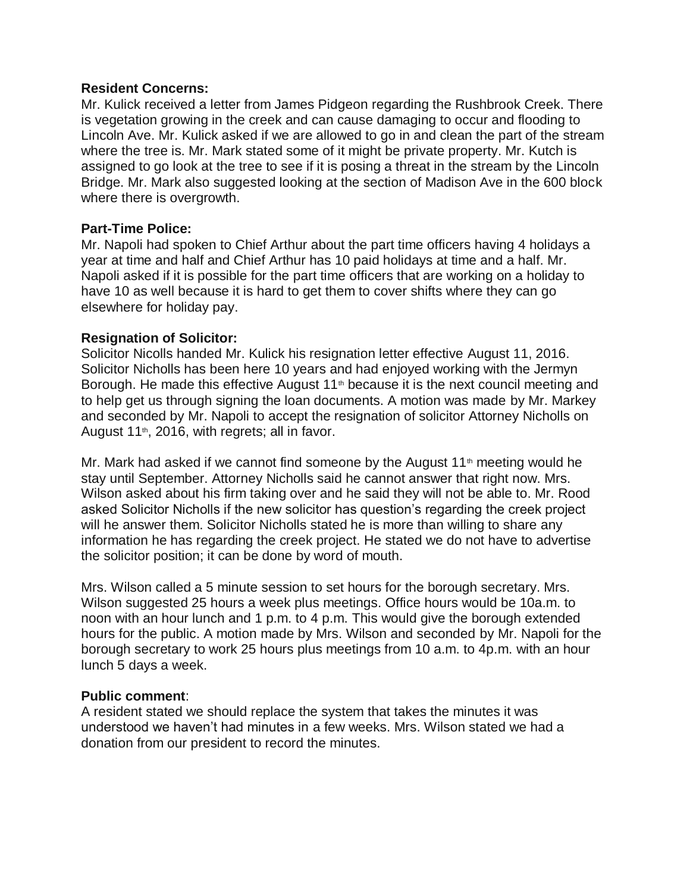### **Resident Concerns:**

Mr. Kulick received a letter from James Pidgeon regarding the Rushbrook Creek. There is vegetation growing in the creek and can cause damaging to occur and flooding to Lincoln Ave. Mr. Kulick asked if we are allowed to go in and clean the part of the stream where the tree is. Mr. Mark stated some of it might be private property. Mr. Kutch is assigned to go look at the tree to see if it is posing a threat in the stream by the Lincoln Bridge. Mr. Mark also suggested looking at the section of Madison Ave in the 600 block where there is overgrowth.

#### **Part-Time Police:**

Mr. Napoli had spoken to Chief Arthur about the part time officers having 4 holidays a year at time and half and Chief Arthur has 10 paid holidays at time and a half. Mr. Napoli asked if it is possible for the part time officers that are working on a holiday to have 10 as well because it is hard to get them to cover shifts where they can go elsewhere for holiday pay.

#### **Resignation of Solicitor:**

Solicitor Nicolls handed Mr. Kulick his resignation letter effective August 11, 2016. Solicitor Nicholls has been here 10 years and had enjoyed working with the Jermyn Borough. He made this effective August 11<sup>th</sup> because it is the next council meeting and to help get us through signing the loan documents. A motion was made by Mr. Markey and seconded by Mr. Napoli to accept the resignation of solicitor Attorney Nicholls on August  $11<sup>th</sup>$ , 2016, with regrets; all in favor.

Mr. Mark had asked if we cannot find someone by the August  $11<sup>th</sup>$  meeting would he stay until September. Attorney Nicholls said he cannot answer that right now. Mrs. Wilson asked about his firm taking over and he said they will not be able to. Mr. Rood asked Solicitor Nicholls if the new solicitor has question's regarding the creek project will he answer them. Solicitor Nicholls stated he is more than willing to share any information he has regarding the creek project. He stated we do not have to advertise the solicitor position; it can be done by word of mouth.

Mrs. Wilson called a 5 minute session to set hours for the borough secretary. Mrs. Wilson suggested 25 hours a week plus meetings. Office hours would be 10a.m. to noon with an hour lunch and 1 p.m. to 4 p.m. This would give the borough extended hours for the public. A motion made by Mrs. Wilson and seconded by Mr. Napoli for the borough secretary to work 25 hours plus meetings from 10 a.m. to 4p.m. with an hour lunch 5 days a week.

#### **Public comment**:

A resident stated we should replace the system that takes the minutes it was understood we haven't had minutes in a few weeks. Mrs. Wilson stated we had a donation from our president to record the minutes.